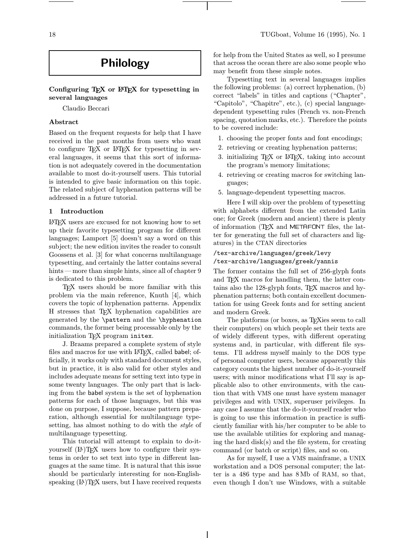# Philology

# Configuring TEX or LATEX for typesetting in several languages

Claudio Beccari

# Abstract

Based on the frequent requests for help that I have received in the past months from users who want to configure T<sub>EX</sub> or L<sup>AT</sup>EX for typesetting in several languages, it seems that this sort of information is not adequately covered in the documentation available to most do-it-yourself users. This tutorial is intended to give basic information on this topic. The related subject of hyphenation patterns will be addressed in a future tutorial.

#### 1 Introduction

LATEX users are excused for not knowing how to set up their favorite typesetting program for different languages; Lamport [5] doesn't say a word on this subject; the new edition invites the reader to consult Goossens et al. [3] for what concerns multilanguage typesetting, and certainly the latter contains several hints — more than simple hints, since all of chapter 9 is dedicated to this problem.

TEX users should be more familiar with this problem via the main reference, Knuth [4], which covers the topic of hyphenation patterns. Appendix H stresses that TEX hyphenation capabilities are generated by the \pattern and the \hyphenation commands, the former being processable only by the initialization TEX program initex.

J. Braams prepared a complete system of style files and macros for use with LATFX, called babel; officially, it works only with standard document styles, but in practice, it is also valid for other styles and includes adequate means for setting text into type in some twenty languages. The only part that is lacking from the babel system is the set of hyphenation patterns for each of those languages, but this was done on purpose, I suppose, because pattern preparation, although essential for multilanguage typesetting, has almost nothing to do with the style of multilanguage typesetting.

This tutorial will attempt to explain to do-ityourself (LA)T<sub>F</sub>X users how to configure their systems in order to set text into type in different languages at the same time. It is natural that this issue should be particularly interesting for non-Englishspeaking  $(L)$  T<sub>E</sub>X users, but I have received requests for help from the United States as well, so I presume that across the ocean there are also some people who may benefit from these simple notes.

Typesetting text in several languages implies the following problems: (a) correct hyphenation, (b) correct "labels" in titles and captions ("Chapter", "Capitolo", "Chapitre", etc.), (c) special languagedependent typesetting rules (French vs. non-French spacing, quotation marks, etc.). Therefore the points to be covered include:

- 1. choosing the proper fonts and font encodings;
- 2. retrieving or creating hyphenation patterns;
- 3. initializing TEX or LATEX, taking into account the program's memory limitations;
- 4. retrieving or creating macros for switching languages;
- 5. language-dependent typesetting macros.

Here I will skip over the problem of typesetting with alphabets different from the extended Latin one; for Greek (modern and ancient) there is plenty of information (T<sub>EX</sub> and METAFONT files, the latter for generating the full set of characters and ligatures) in the CTAN directories

# /tex-archive/languages/greek/levy /tex-archive/languages/greek/yannis

The former contains the full set of 256-glyph fonts and TEX macros for handling them, the latter contains also the 128-glyph fonts, TEX macros and hyphenation patterns; both contain excellent documentation for using Greek fonts and for setting ancient and modern Greek.

The platforms (or boxes, as TEXies seem to call their computers) on which people set their texts are of widely different types, with different operating systems and, in particular, with different file systems. I'll address myself mainly to the DOS type of personal computer users, because apparently this category counts the highest number of do-it-yourself users; with minor modifications what I'll say is applicable also to other environments, with the caution that with VMS one must have system manager privileges and with UNIX, superuser privileges. In any case I assume that the do-it-yourself reader who is going to use this information in practice is sufficiently familiar with his/her computer to be able to use the available utilities for exploring and managing the hard disk(s) and the file system, for creating command (or batch or script) files, and so on.

As for myself, I use a VMS mainframe, a UNIX workstation and a DOS personal computer; the latter is a 486 type and has 8Mb of RAM, so that, even though I don't use Windows, with a suitable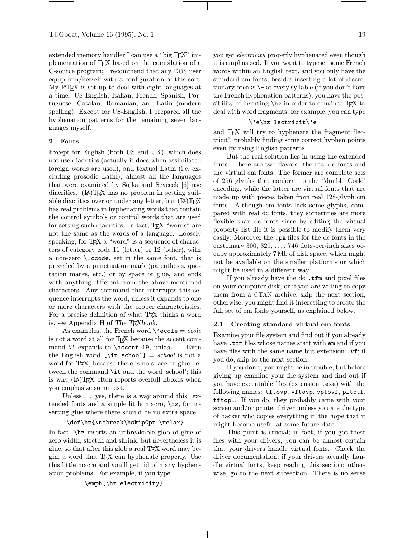extended memory handler I can use a "big T<sub>EX</sub>" implementation of TEX based on the compilation of a C-source program; I recommend that any DOS user equip him/herself with a configuration of this sort. My LATEX is set up to deal with eight languages at a time: US-English, Italian, French, Spanish, Portuguese, Catalan, Romanian, and Latin (modern spelling). Except for US-English, I prepared all the hyphenation patterns for the remaining seven languages myself.

# 2 Fonts

Except for English (both US and UK), which does not use diacritics (actually it does when assimilated foreign words are used), and textual Latin (i.e. excluding prosodic Latin), almost all the languages that were examined by Sojka and Seveček  $[6]$  use diacritics.  $(E)$ TEX has no problem in setting suitable diacritics over or under any letter, but  $(E)$ TEX has real problems in hyphenating words that contain the control symbols or control words that are used for setting such diacritics. In fact, TEX "words" are not the same as the words of a language. Loosely speaking, for T<sub>EX</sub> a "word" is a sequence of characters of category code 11 (letter) or 12 (other), with a non-zero \lccode, set in the same font, that is preceded by a punctuation mark (parenthesis, quotation marks, etc.) or by space or glue, and ends with anything different from the above-mentioned characters. Any command that interrupts this sequence interrupts the word, unless it expands to one or more characters with the proper characteristics. For a precise definition of what TFX thinks a word is, see Appendix H of The T<sub>E</sub>Xbook.

As examples, the French word  $\backslash$  ecole =  $\acute{e}cole$ is not a word at all for TEX because the accent command  $\vee$  expands to  $\text{29}$ , unless ... Even the English word  $\{\iota\}$  school = school is not a word for T<sub>F</sub>X, because there is no space or glue between the command \it and the word 'school'; this is why  $(L)$ <sup>T</sup>FX often reports overfull hboxes when you emphasize some text.

Unless ... yes, there is a way around this: extended fonts and a simple little macro, \hz, for inserting glue where there should be no extra space:

#### \def\hz{\nobreak\hskip0pt \relax}

In fact, \hz inserts an unbreakable glob of glue of zero width, stretch and shrink, but nevertheless it is glue, so that after this glob a real TEX word may begin, a word that TEX can hyphenate properly. Use this little macro and you'll get rid of many hyphenation problems. For example, if you type

#### \emph{\hz electricity}

you get *electricity* properly hyphenated even though it is emphasized. If you want to typeset some French words within an English text, and you only have the standard cm fonts, besides inserting a lot of discretionary breaks \- at every syllable (if you don't have the French hyphenation patterns), you have the possibility of inserting  $\hbar z$  in order to convince T<sub>EX</sub> to deal with word fragments; for example, you can type

#### \'e\hz lectricit\'e

and TEX will try to hyphenate the fragment 'lectricit', probably finding some correct hyphen points even by using English patterns.

But the real solution lies in using the extended fonts. There are two flavors: the real dc fonts and the virtual em fonts. The former are complete sets of 256 glyphs that conform to the "double Cork" encoding, while the latter are virtual fonts that are made up with pieces taken from real 128-glyph cm fonts. Although em fonts lack some glyphs, compared with real dc fonts, they sometimes are more flexible than dc fonts since by editing the virtual property list file it is possible to modify them very easily. Moreover the .pk files for the dc fonts in the customary 300, 329, ..., 746 dots-per-inch sizes occupy approximately 7Mb of disk space, which might not be available on the smaller platforms or which might be used in a different way.

If you already have the dc .tfm and pixel files on your computer disk, or if you are willing to copy them from a CTAN archive, skip the next section; otherwise, you might find it interesting to create the full set of em fonts yourself, as explained below.

# 2.1 Creating standard virtual em fonts

Examine your file system and find out if you already have .tfm files whose names start with em and if you have files with the same name but extension .vf; if you do, skip to the next section.

If you don't, you might be in trouble, but before giving up examine your file system and find out if you have executable files (extension .exe) with the following names: tftovp, vftovp, vptovf, pltotf, tftopl. If you do, they probably came with your screen and/or printer driver, unless you are the type of hacker who copies everything in the hope that it might become useful at some future date.

This point is crucial; in fact, if you got these files with your drivers, you can be almost certain that your drivers handle virtual fonts. Check the driver documentation; if your drivers actually handle virtual fonts, keep reading this section; otherwise, go to the next subsection. There is no sense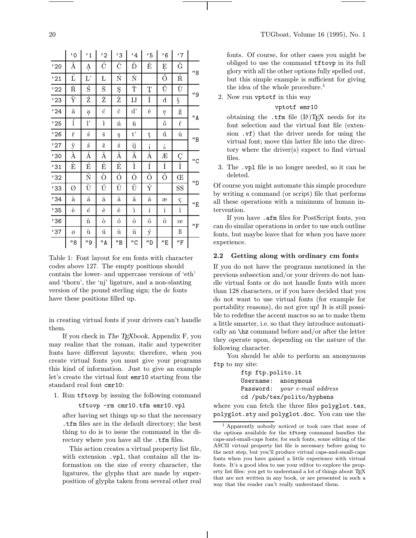| ۰. | I |
|----|---|

|                | $^{\circ}$ 0 | $^{\prime}$ 1      | $^{\prime}$ 2      | ,ვ                | ,4                             | '5                    | ,6                  | ,7                      |     |
|----------------|--------------|--------------------|--------------------|-------------------|--------------------------------|-----------------------|---------------------|-------------------------|-----|
| '20            | Ă            | Ą                  | Ć                  | Č                 | Ď                              | Ě                     | Ę                   | $\breve{\mathbf{G}}$    |     |
| '21            | Ĺ            | $\Gamma$           | Ł                  | Ń                 | Ň                              |                       | Ő                   | $\overline{\mathbf{R}}$ | "8  |
| '22            | Ř            | Ś                  | Š                  | Ş                 | Ť                              | Ţ                     | Ű                   | $\mathring{\text{U}}$   | "9  |
| '23            | Ÿ            | Ź                  | Ž                  | Ż                 | $_{\rm LJ}$                    | İ                     | $\mathbf d$         | ş                       |     |
| $^{\prime}$ 24 | ă            | ą                  | ć                  | č                 | $\mathbf{d}$                   | ě                     | ę                   | ğ                       | " A |
| '25            | ĺ            | <sup>1</sup>       | ł                  | ń                 | ň                              |                       | ő                   | ŕ                       |     |
| '26            | ř            | ś                  | š                  | ş                 | $t$ ,                          | ţ                     | ű                   | $\mathring{\text{u}}$   | "B  |
| '27            | ÿ            | ź                  | ž                  | ż                 | ij                             | i                     | į,                  |                         |     |
| ,30            | À            | Á                  | Â                  | Ã                 | Ä                              | Å                     | Æ                   | Ç                       | "C  |
| '31            | È            | É                  | $\hat{\textbf{E}}$ | $\ddot{\text{E}}$ | Ì                              | Í                     | $\hat{\text{I}}$    | Ï                       |     |
| '32            |              | Ñ                  | Ò                  | Ó                 | Ô                              | $\tilde{0}$           | $\ddot{\mathrm{o}}$ | Œ                       | "D  |
| '33            | Ø            | Ù                  | Ú                  | Û                 | $\overline{\ddot{\mathtt{U}}}$ | Ý                     |                     | SS                      |     |
| , 34           | à            | $\acute{\text{a}}$ | â                  | $\tilde{\rm a}$   | ä                              | $\mathring{\text{a}}$ | æ                   | ç                       | "E  |
| '35            | è            | $\acute{\rm e}$    | ê                  | ë                 | ì                              | $\acute{\text{i}}$    | $\hat{\textbf{\i}}$ | ï                       |     |
| 36             |              | $\tilde{\rm n}$    | ò                  | ó                 | ô                              | $\tilde{\text{o}}$    | $\ddot{\text{o}}$   | œ                       | "F  |
| $^\prime 37$   | Ø            | ù                  | ú                  | û                 | ü                              | ý                     |                     | ß                       |     |
|                | "8           | "9                 | "A                 | "B                | "C                             | "D                    | "E                  | "F                      |     |

Table 1: Font layout for em fonts with character codes above 127. The empty positions should contain the lower- and uppercase versions of 'eth' and 'thorn', the 'nj' ligature, and a non-slanting version of the pound sterling sign; the dc fonts have these positions filled up.

in creating virtual fonts if your drivers can't handle them.

If you check in The TEXbook, Appendix F, you may realize that the roman, italic and typewriter fonts have different layouts; therefore, when you create virtual fonts you must give your programs this kind of information. Just to give an example let's create the virtual font emr10 starting from the standard real font cmr10:

1. Run tftovp by issuing the following command

#### tftovp -rm cmr10.tfm emr10.vpl

after having set things up so that the necessary .tfm files are in the default directory; the best thing to do is to issue the command in the directory where you have all the .tfm files.

This action creates a virtual property list file, with extension .vpl, that contains all the information on the size of every character, the ligatures, the glyphs that are made by superposition of glyphs taken from several other real fonts. Of course, for other cases you might be obliged to use the command tftovp in its full glory with all the other options fully spelled out, but this simple example is sufficient for giving the idea of the whole procedure.<sup>1</sup>

2. Now run vptotf in this way

# vptotf emr10

obtaining the .tfm file  $(E)$ TEX needs for its font selection and the virtual font file (extension .vf) that the driver needs for using the virtual font; move this latter file into the directory where the driver(s) expect to find virtual files.

3. The .vpl file is no longer needed, so it can be deleted.

Of course you might automate this simple procedure by writing a command (or script) file that performs all these operations with a minimum of human intervention.

If you have .afm files for PostScript fonts, you can do similar operations in order to use such outline fonts, but maybe leave that for when you have more experience.

#### 2.2 Getting along with ordinary cm fonts

If you do not have the programs mentioned in the previous subsection and/or your drivers do not handle virtual fonts or do not handle fonts with more than 128 characters, or if you have decided that you do not want to use virtual fonts (for example for portability reasons), do not give up! It is still possible to redefine the accent macros so as to make them a little smarter, i.e. so that they introduce automatically an \hz command before and/or after the letter they operate upon, depending on the nature of the following character.

You should be able to perform an anonymous ftp to my site:

> ftp ftp.polito.it Username: anonymous Password: your e-mail address cd /pub/tex/polito/hyphens

where you can fetch the three files polyglot.tex, polyglot.sty and polyglot.doc. You can use the

<sup>1</sup> Apparently nobody noticed or took care that none of the options available for the tftovp command handles the caps-and-small-caps fonts; for such fonts, some editing of the ASCII virtual property list file is necessary before going to the next step, but you'll produce virtual caps-and-small-caps fonts when you have gained a little experience with virtual fonts. It's a good idea to use your editor to explore the property list files: you get to understand a lot of things about TEX that are not written in any book, or are presented in such a way that the reader can't really understand them.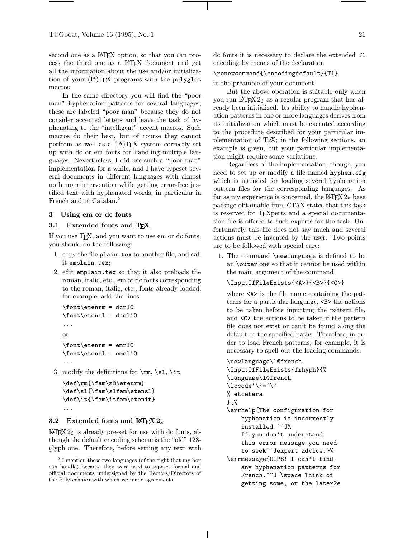second one as a LAT<sub>EX</sub> option, so that you can process the third one as a LATEX document and get all the information about the use and/or initialization of your  $(\mathbb{A})$ T<sub>E</sub>X programs with the polyglot macros.

In the same directory you will find the "poor man" hyphenation patterns for several languages; these are labeled "poor man" because they do not consider accented letters and leave the task of hyphenating to the "intelligent" accent macros. Such macros do their best, but of course they cannot perform as well as a  $(E)$ T<sub>F</sub>X system correctly set up with dc or em fonts for handling multiple languages. Nevertheless, I did use such a "poor man" implementation for a while, and I have typeset several documents in different languages with almost no human intervention while getting error-free justified text with hyphenated words, in particular in French and in Catalan.<sup>2</sup>

#### 3 Using em or dc fonts

#### 3.1 Extended fonts and TFX

If you use TEX, and you want to use em or dc fonts, you should do the following:

- 1. copy the file plain.tex to another file, and call it emplain.tex;
- 2. edit emplain.tex so that it also preloads the roman, italic, etc., em or dc fonts corresponding to the roman, italic, etc., fonts already loaded; for example, add the lines:

```
\font\etenrm = dcr10
\font\etensl = dcsl10
...
or
\font\etenrm = emr10
\forallfont\text{terms1 = emsl10}...
```
3. modify the definitions for  $\rm \$ rm,  $\sl \slant$ ,  $\it \$ 

```
\def\rm{\fam\z@\etenrm}
\def\sl{\fam\slfam\etensl}
\def\it{\fam\itfam\etenit}
...
```
# 3.2 Extended fonts and  $\mathbb{F} \mathbb{F} \mathbb{X} 2_{\varepsilon}$

LAT<sub>F</sub>X 2<sub>ε</sub> is already pre-set for use with dc fonts, although the default encoding scheme is the "old" 128 glyph one. Therefore, before setting any text with dc fonts it is necessary to declare the extended T1 encoding by means of the declaration

#### \renewcommand{\encodingdefault}{T1}

in the preamble of your document.

But the above operation is suitable only when you run LATEX  $2\varepsilon$  as a regular program that has already been initialized. Its ability to handle hyphenation patterns in one or more languages derives from its initialization which must be executed according to the procedure described for your particular implementation of TEX; in the following sections, an example is given, but your particular implementation might require some variations.

Regardless of the implementation, though, you need to set up or modify a file named hyphen.cfg which is intended for loading several hyphenation pattern files for the corresponding languages. As far as my experience is concerned, the LAT<sub>EX</sub>  $2\varepsilon$  base package obtainable from CTAN states that this task is reserved for TEXperts and a special documentation file is offered to such experts for the task. Unfortunately this file does not say much and several actions must be invented by the user. Two points are to be followed with special care:

1. The command \newlanguage is defined to be an \outer one so that it cannot be used within the main argument of the command

# \InputIfFileExists{<A>}{<B>}{<C>}

where  $\langle A \rangle$  is the file name containing the patterns for a particular language, <B> the actions to be taken before inputting the pattern file, and <C> the actions to be taken if the pattern file does not exist or can't be found along the default or the specified paths. Therefore, in order to load French patterns, for example, it is necessary to spell out the loading commands:

```
\newlanguage\l@french
```

```
\InputIfFileExists{frhyph}{%
\language\l@french
\setminuslccode'\setminus'='\setminus'
% etcetera
}{%
\errhelp{The configuration for
    hyphenation is incorrectly
    installed.^^J%
    If you don't understand
    this error message you need
    to seek^^Jexpert advice.}%
\errmessage{OOPS! I can't find
    any hyphenation patterns for
    French.<sup>^^</sup>J \space Think of
    getting some, or the latex2e
```
 $^2$  I mention these two languages (of the eight that my box can handle) because they were used to typeset formal and official documents undersigned by the Rectors/Directors of the Polytechnics with which we made agreements.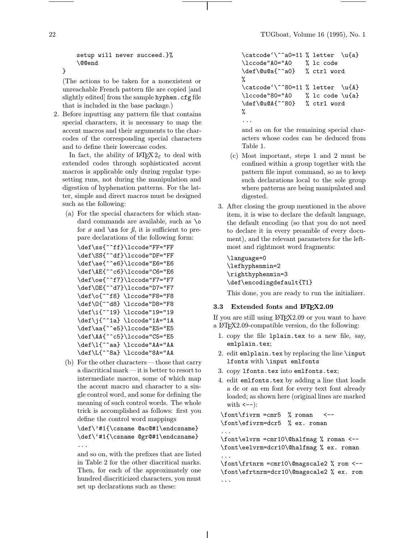setup will never succeed.}% \@@end

(The actions to be taken for a nonexistent or unreachable French pattern file are copied [and slightly edited] from the sample hyphen.cfg file that is included in the base package.)

2. Before inputting any pattern file that contains special characters, it is necessary to map the accent macros and their arguments to the charcodes of the corresponding special characters and to define their lowercase codes.

In fact, the ability of  $\mathbb{F} \mathbb{F} \mathbb{F} \mathbb{F} \mathbb{F} \mathbb{F} \mathbb{F}$  to deal with extended codes through sophisticated accent macros is applicable only during regular typesetting runs, not during the manipulation and digestion of hyphenation patterns. For the latter, simple and direct macros must be designed such as the following:

(a) For the special characters for which standard commands are available, such as \o for  $\phi$  and \ss for  $\beta$ , it is sufficient to prepare declarations of the following form:

```
\def\ss{^^ff}\lccode"FF="FF
\def\SS{^^df}\lccode"DF="FF
\def\ae{^^e6}\lccode"E6="E6
\def\AE{^^c6}\lccode"C6="E6
\def\oe{^^f7}\lccode"F7="F7
\def\OE{^^d7}\lccode"D7="F7
\def\o{^^f8} \lccode"F8="F8
\def\O{^^d8} \lccode"D8="F8
\def\i{^^19} \lccode"19="19
\def\j{^^1a} \lccode"1A="1A
\def\aa{^^e5}\lccode"E5="E5
\def\AA{^^c5}\lccode"C5="E5
\def\l{^^aa} \lccode"AA="AA
\def\L{^^8a} \lccode"8A="AA
```
(b) For the other characters—those that carry a diacritical mark—it is better to resort to intermediate macros, some of which map the accent macro and character to a single control word, and some for defining the meaning of such control words. The whole trick is accomplished as follows: first you define the control word mappings

\def\'#1{\csname @ac@#1\endcsname} \def\'#1{\csname @gr@#1\endcsname} ...

and so on, with the prefixes that are listed in Table 2 for the other diacritical marks. Then, for each of the approximately one hundred diacriticized characters, you must set up declarations such as these:

```
\catcode' \^a0=11 % letter \u{a}\lccode"A0="A0 % lc code
\def\@u@a{^^a0} % ctrl word
%
\catcode' \^80=11 % letter \u{A}\lccode"80="A0 % lc code \u{a}
\def\@u@A{^^80} % ctrl word
%
...
```
and so on for the remaining special characters whose codes can be deduced from Table 1.

- (c) Most important, steps 1 and 2 must be confined within a group together with the pattern file input command, so as to keep such declarations local to the sole group where patterns are being manipulated and digested.
- 3. After closing the group mentioned in the above item, it is wise to declare the default language, the default encoding (so that you do not need to declare it in every preamble of every document), and the relevant parameters for the leftmost and rightmost word fragments:

\language=0 \lefhyphenmin=2 \righthyphenmin=3 \def\encodingdefault{T1}

This done, you are ready to run the initializer.

# 3.3 Extended fonts and LATEX2.09

If you are still using  $\text{Lipx2.09}$  or you want to have a LATEX2.09-compatible version, do the following:

- 1. copy the file lplain.tex to a new file, say, emlplain.tex;
- 2. edit emlplain.tex by replacing the line \input lfonts with \input emlfonts
- 3. copy lfonts.tex into emlfonts.tex;
- 4. edit emlfonts.tex by adding a line that loads a dc or an em font for every text font already loaded; as shown here (original lines are marked with  $\leftarrow$ -):

 $\forall$ font $\exists$ roman <--\font\efivrm=dcr5 % ex. roman

...

\font\elvrm =cmr10\@halfmag % roman <-- \font\eelvrm=dcr10\@halfmag % ex. roman ...

\font\frtnrm =cmr10\@magscale2 % rom <-- \font\efrtnrm=dcr10\@magscale2 % ex. rom ...

}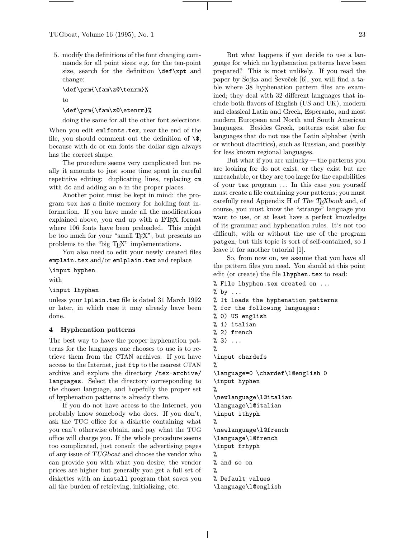5. modify the definitions of the font changing commands for all point sizes; e.g. for the ten-point size, search for the definition **\def\xpt** and change:

\def\prm{\fam\z@\tenrm}% to

\def\prm{\fam\z@\etenrm}%

doing the same for all the other font selections. When you edit emlfonts.tex, near the end of the file, you should comment out the definition of  $\$ , because with dc or em fonts the dollar sign always

has the correct shape. The procedure seems very complicated but really it amounts to just some time spent in careful repetitive editing: duplicating lines, replacing cm with dc and adding an e in the proper places.

Another point must be kept in mind: the program tex has a finite memory for holding font information. If you have made all the modifications explained above, you end up with a LATEX format where 106 fonts have been preloaded. This might be too much for your "small T<sub>EX</sub>", but presents no problems to the "big TEX" implementations.

You also need to edit your newly created files emplain.tex and/or emlplain.tex and replace

\input hyphen

with

\input lhyphen

unless your lplain.tex file is dated 31 March 1992 or later, in which case it may already have been done.

#### 4 Hyphenation patterns

The best way to have the proper hyphenation patterns for the languages one chooses to use is to retrieve them from the CTAN archives. If you have access to the Internet, just ftp to the nearest CTAN archive and explore the directory /tex-archive/ languages. Select the directory corresponding to the chosen language, and hopefully the proper set of hyphenation patterns is already there.

If you do not have access to the Internet, you probably know somebody who does. If you don't, ask the TUG office for a diskette containing what you can't otherwise obtain, and pay what the TUG office will charge you. If the whole procedure seems too complicated, just consult the advertising pages of any issue of TUGboat and choose the vendor who can provide you with what you desire; the vendor prices are higher but generally you get a full set of diskettes with an install program that saves you all the burden of retrieving, initializing, etc.

But what happens if you decide to use a language for which no hyphenation patterns have been prepared? This is most unlikely. If you read the paper by Sojka and Seveček [6], you will find a table where 38 hyphenation pattern files are examined; they deal with 32 different languages that include both flavors of English (US and UK), modern and classical Latin and Greek, Esperanto, and most modern European and North and South American languages. Besides Greek, patterns exist also for languages that do not use the Latin alphabet (with or without diacritics), such as Russian, and possibly for less known regional languages.

But what if you are unlucky —the patterns you are looking for do not exist, or they exist but are unreachable, or they are too large for the capabilities of your tex program . . . In this case you yourself must create a file containing your patterns; you must carefully read Appendix H of The T<sub>E</sub>Xbook and, of course, you must know the "strange" language you want to use, or at least have a perfect knowledge of its grammar and hyphenation rules. It's not too difficult, with or without the use of the program patgen, but this topic is sort of self-contained, so I leave it for another tutorial [1].

So, from now on, we assume that you have all the pattern files you need. You should at this point edit (or create) the file lhyphen.tex to read:

% File lhyphen.tex created on ...  $%$  by  $\ldots$ % It loads the hyphenation patterns % for the following languages: % 0) US english % 1) italian % 2) french  $% 3)$  ... % \input chardefs % \language=0 \chardef\l@english 0 \input hyphen % \newlanguage\l@italian \language\l@italian \input ithyph % \newlanguage\l@french \language\l@french \input frhyph % % and so on % % Default values \language\l@english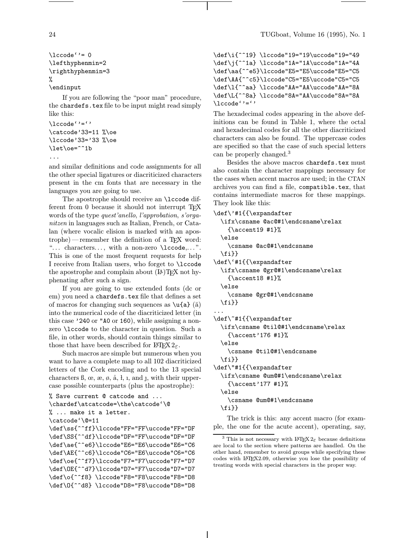```
\lvert \cdot \rvert = 0\lefthyphenmin=2
\righthyphenmin=3
%
\endinput
```
If you are following the "poor man" procedure, the chardefs.tex file to be input might read simply like this:

```
\setminuslccode''=''
\catcode'33=11 %\oe
\lccode'33='33 %\oe
\let\oe=^^1b
```

```
...
```
and similar definitions and code assignments for all the other special ligatures or diacriticized characters present in the cm fonts that are necessary in the languages you are going to use.

The apostrophe should receive an **\lccode** different from 0 because it should not interrupt T<sub>EX</sub> words of the type quest'anello, l'approbation, s'organitzen in languages such as Italian, French, or Catalan (where vocalic elision is marked with an apostrophe)—remember the definition of a TEX word: "... characters..., with a non-zero \lccode,...". This is one of the most frequent requests for help I receive from Italian users, who forget to \lccode the apostrophe and complain about  $(E)$  T<sub>EX</sub> not hyphenating after such a sign.

If you are going to use extended fonts (dc or em) you need a chardefs.tex file that defines a set of macros for changing such sequences as  $\u{a} (\breve{a})$ into the numerical code of the diacriticized letter (in this case '240 or "A0 or 160), while assigning a nonzero \lccode to the character in question. Such a file, in other words, should contain things similar to those that have been described for  $\mathbb{P}\mathbb{F}\times 2_{\epsilon}$ .

Such macros are simple but numerous when you want to have a complete map to all 102 diacriticized letters of the Cork encoding and to the 13 special characters  $\beta$ ,  $\alpha$ ,  $\alpha$ ,  $\beta$ ,  $\beta$ ,  $\beta$ ,  $\gamma$ , and  $\gamma$ , with their uppercase possible counterparts (plus the apostrophe):

```
% Save current @ catcode and ...
\chardef\atcatcode=\the\catcode'\@
% ... make it a letter.
\catcode'\@=11
\def\ss{^^ff}\lccode"FF="FF\uccode"FF="DF
\def\SS{^^df}\lccode"DF="FF\uccode"DF="DF
\def\ae{^^e6}\lccode"E6="E6\uccode"E6="C6
\def\AE{^^c6}\lccode"C6="E6\uccode"C6="C6
\def\oe{^^f7}\lccode"F7="F7\uccode"F7="D7
\def\OE{^^d7}\lccode"D7="F7\uccode"D7="D7
\def\o{^^f8} \lccode"F8="F8\uccode"F8="D8
\def\O{^^d8} \lccode"D8="F8\uccode"D8="D8
```

```
\def\i{^^19} \lccode"19="19\uccode"19="49
\def\j{^^1a} \lccode"1A="1A\uccode"1A="4A
\def\aa{^^e5}\lccode"E5="E5\uccode"E5="C5
\def\AA{^^c5}\lccode"C5="E5\uccode"C5="C5
\def\l{^^aa} \lccode"AA="AA\uccode"AA="8A
\def\L{^^8a} \lccode"8A="AA\uccode"8A="8A
\lccode''=''
```
The hexadecimal codes appearing in the above definitions can be found in Table 1, where the octal and hexadecimal codes for all the other diacriticized characters can also be found. The uppercase codes are specified so that the case of such special letters can be properly changed.<sup>3</sup>

Besides the above macros chardefs.tex must also contain the character mappings necessary for the cases when accent macros are used; in the CTAN archives you can find a file, compatible.tex, that contains intermediate macros for these mappings. They look like this:

```
\def\'#1{{\expandafter
  \ifx\csname @ac@#1\endcsname\relax
    {\text{^\#1}}\else
    \csname @ac@#1\endcsname
  \{f_i\}\def\'#1{{\expandafter
 \ifx\csname @gr@#1\endcsname\relax
    {\text{}\}#1}%
  \else
    \csname @gr@#1\endcsname
 \fi}}
...
\def\~#1{{\expandafter
 \ifx\csname @til@#1\endcsname\relax
    {\accent'176 #1}%
  \else
    \csname @til@#1\endcsname
  \fi}}
\def\"#1{{\expandafter
  \ifx\csname @um@#1\endcsname\relax
    {\accent'177 #1}%
  \else
    \csname @um@#1\endcsname
  \{f_i\}The trick is this: any accent macro (for exam-
```
ple, the one for the acute accent), operating, say,

<sup>&</sup>lt;sup>3</sup> This is not necessary with  $\text{LATEX } 2\varepsilon$  because definitions are local to the section where patterns are handled. On the other hand, remember to avoid groups while specifying these codes with LATEX2.09, otherwise you lose the possibility of treating words with special characters in the proper way.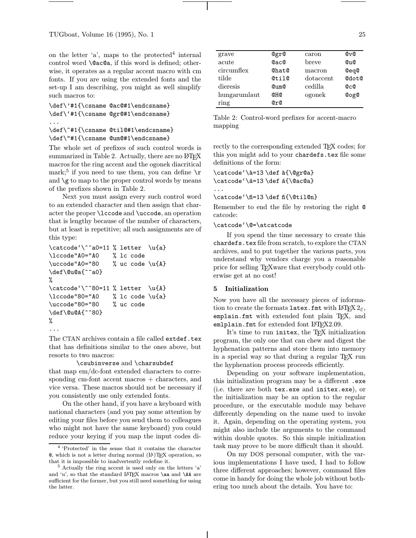on the letter  $a'$ , maps to the protected<sup>4</sup> internal control word \@ac@a, if this word is defined; otherwise, it operates as a regular accent macro with cm fonts. If you are using the extended fonts and the set-up I am describing, you might as well simplify such macros to:

```
\def\'#1{\csname @ac@#1\endcsname}
\def\'#1{\csname @gr@#1\endcsname}
...
\def\~#1{\csname @til@#1\endcsname}
```
\def\"#1{\csname @um@#1\endcsname}

The whole set of prefixes of such control words is summarized in Table 2. Actually, there are no LATEX macros for the ring accent and the ogonek diacritical mark;<sup>5</sup> if you need to use them, you can define  $\mathcal{F}$ and  $\gtrsim$  to map to the proper control words by means of the prefixes shown in Table 2.

Next you must assign every such control word to an extended character and then assign that character the proper \lccode and \uccode, an operation that is lengthy because of the number of characters, but at least is repetitive; all such assignments are of this type:

```
\catcode' \^a0=11 % letter \u{a}\lccode"A0="A0 % lc code
\uccode"A0="80 % uc code \u{A}
\def\@u@a{^^a0}
%
\catcode' \% letter \u{A}\lccode"80="A0 % lc code \u{a}
\uccode"80="80 % uc code
\def\@u@A{^^80}
%
...
```
The CTAN archives contain a file called extdef.tex that has definitions similar to the ones above, but resorts to two macros:

#### \csubinverse and \charsubdef

that map em/dc-font extended characters to corresponding cm-font accent macros + characters, and vice versa. These macros should not be necessary if you consistently use only extended fonts.

On the other hand, if you have a keyboard with national characters (and you pay some attention by editing your files before you send them to colleagues who might not have the same keyboard) you could reduce your keying if you map the input codes di-

| grave        | @gr@              | caron     | $Q_VQ$           |
|--------------|-------------------|-----------|------------------|
| acute        | <b>QacQ</b>       | breve     | Q <sub>U</sub> Q |
| circumflex   | Chat <sup>Q</sup> | macron    | @eq@             |
| tilde        | @til@             | dotaccent | @dot@            |
| dieresis     | $Q11$ m $Q2$      | cedilla   | <b>@c@</b>       |
| hungarumlaut | <b>QHQ</b>        | ogonek    | <b>CogO</b>      |
| ring         | @r@               |           |                  |

Table 2: Control-word prefixes for accent-macro mapping

rectly to the corresponding extended TFX codes; for this you might add to your chardefs.tex file some definitions of the form:

\catcode'\à=13 \def à{\@gr@a} \catcode'\a=13\def a{\@ac@a} ...

\catcode'\n=13 \def n{\@til@n}

Remember to end the file by restoring the right @ catcode:

\catcode'\@=\atcatcode

If you spend the time necessary to create this chardefs.tex file from scratch, to explore the CTAN archives, and to put together the various parts, you understand why vendors charge you a reasonable price for selling T<sub>E</sub>Xware that everybody could otherwise get at no cost!

#### 5 Initialization

Now you have all the necessary pieces of information to create the formats latex.fmt with LATEX  $2\varepsilon$ , emplain.fmt with extended font plain TEX, and emlplain.fmt for extended font  $LATFX2.09$ .

It's time to run initex, the TEX initialization program, the only one that can chew and digest the hyphenation patterns and store them into memory in a special way so that during a regular T<sub>EX</sub> run the hyphenation process proceeds efficiently.

Depending on your software implementation, this initialization program may be a different .exe (i.e. there are both tex.exe and initex.exe), or the initialization may be an option to the regular procedure, or the executable module may behave differently depending on the name used to invoke it. Again, depending on the operating system, you might also include the arguments to the command within double quotes. So this simple initialization task may prove to be more difficult than it should.

On my DOS personal computer, with the various implementations I have used, I had to follow three different approaches; however, command files come in handy for doing the whole job without bothering too much about the details. You have to:

<sup>4</sup> 'Protected' in the sense that it contains the character  $\mathcal{O}$ , which is not a letter during normal  $(\mathcal{I}^{\mathcal{A}})(T_{\mathcal{F}}X)$  operation, so that it is impossible to inadvertently redefine it.

<sup>5</sup> Actually the ring accent is used only on the letters 'a' and 'u', so that the standard LATEX macros **\aa** and **\AA** are sufficient for the former, but you still need something for using the latter.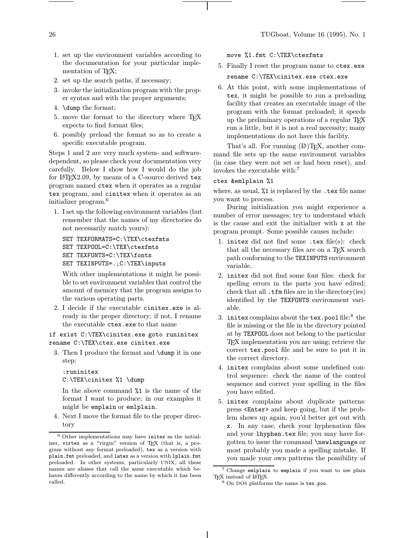- 1. set up the environment variables according to the documentation for your particular implementation of T<sub>E</sub>X;
- 2. set up the search paths, if necessary;
- 3. invoke the initialization program with the proper syntax and with the proper arguments;
- 4. \dump the format;
- 5. move the format to the directory where TEX expects to find format files;
- 6. possibly preload the format so as to create a specific executable program.

Steps 1 and 2 are very much system- and softwaredependent, so please check your documentation very carefully. Below I show how I would do the job for LAT<sub>EX2.09</sub>, by means of a C-source derived tex program named ctex when it operates as a regular tex program, and cinitex when it operates as an initializer program.<sup>6</sup>

1. I set up the following environment variables (but remember that the names of my directories do not necessarily match yours):

```
SET TEXFORMATS=C:\TEX\ctexfmts
SET TEXPOOL=C:\TEX\ctexfmts
SET TEXFONTS=C:\TEX\fonts
SET TEXINPUTS=.;C:\TEX\inputs
```
With other implementations it might be possible to set environment variables that control the amount of memory that the program assigns to the various operating parts.

2. I decide if the executable cinitex.exe is already in the proper directory; if not, I rename the executable ctex.exe to that name

if exist C:\TEX\cinitex.exe goto runinitex rename C:\TEX\ctex.exe cinitex.exe

3. Then I produce the format and \dump it in one step:

:runinitex C:\TEX\cinitex %1 \dump

In the above command %1 is the name of the format I want to produce; in our examples it might be emplain or emlplain.

4. Next I move the format file to the proper directory

move %1.fmt C:\TEX\ctexfmts

- 5. Finally I reset the program name to ctex.exe rename C:\TEX\cinitex.exe ctex.exe
- 6. At this point, with some implementations of tex, it might be possible to run a preloading facility that creates an executable image of the program with the format preloaded; it speeds up the preliminary operations of a regular TEX run a little, but it is not a real necessity; many implementations do not have this facility.

That's all. For running  $(\mathbb{A})$ T<sub>F</sub>X, another command file sets up the same environment variables (in case they were not set or had been reset), and invokes the executable with:<sup>7</sup>

#### ctex &emlplain %1

where, as usual, %1 is replaced by the .tex file name you want to process.

During initialization you might experience a number of error messages; try to understand which is the cause and exit the initializer with x at the program prompt. Some possible causes include:

- 1. initex did not find some .tex file(s): check that all the necessary files are on a TEX search path conforming to the TEXINPUTS environment variable.
- 2. initex did not find some font files: check for spelling errors in the parts you have edited; check that all .tfm files are in the directory(ies) identified by the TEXFONTS environment variable.
- 3. initex complains about the tex.pool file: $8$  the file is missing or the file in the directory pointed at by TEXPOOL does not belong to the particular TEX implementation you are using; retrieve the correct tex.pool file and be sure to put it in the correct directory.
- 4. initex complains about some undefined control sequence: check the name of the control sequence and correct your spelling in the files you have edited.
- 5. initex complains about duplicate patterns: press <Enter> and keep going, but if the problem shows up again, you'd better get out with x. In any case, check your hyphenation files and your lhyphen.tex file; you may have forgotten to issue the command \newlanguage or most probably you made a spelling mistake. If you made your own patterns the possibility of

 $^6$  Other implementations may have initex as the initializer, virtex as a "virgin" version of TEX (that is, a program without any format preloaded), tex as a version with plain.fmt preloaded, and latex as a version with lplain.fmt preloaded. In other systems, particularly UNIX, all these names are aliases that call the same executable which behaves differently according to the name by which it has been called.

<sup>&</sup>lt;sup>7</sup> Change emlplain to emplain if you want to use plain T<sub>E</sub>X instead of  $L$ <sup>X</sup>T<sub>E</sub>X.

 $8$  On DOS platforms the name is tex.poo.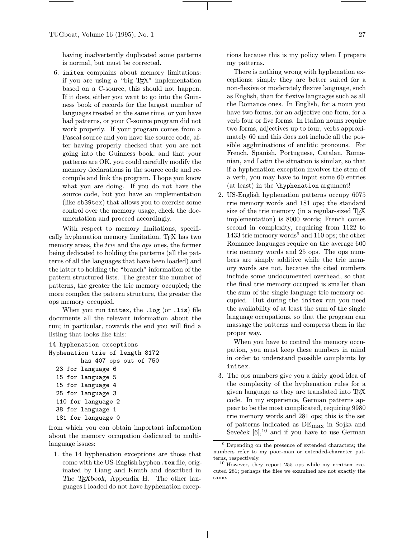having inadvertently duplicated some patterns is normal, but must be corrected.

6. initex complains about memory limitations: if you are using a "big TEX" implementation based on a C-source, this should not happen. If it does, either you want to go into the Guinness book of records for the largest number of languages treated at the same time, or you have bad patterns, or your C-source program did not work properly. If your program comes from a Pascal source and you have the source code, after having properly checked that you are not going into the Guinness book, and that your patterns are OK, you could carefully modify the memory declarations in the source code and recompile and link the program. I hope you know what you are doing. If you do not have the source code, but you have an implementation (like sb39tex) that allows you to exercise some control over the memory usage, check the documentation and proceed accordingly.

With respect to memory limitations, specifically hyphenation memory limitation, TEX has two memory areas, the *trie* and the *ops* ones, the former being dedicated to holding the patterns (all the patterns of all the languages that have been loaded) and the latter to holding the "branch" information of the pattern structured lists. The greater the number of patterns, the greater the trie memory occupied; the more complex the pattern structure, the greater the ops memory occupied.

When you run initex, the .log (or .lis) file documents all the relevant information about the run; in particular, towards the end you will find a listing that looks like this:

```
14 hyphenation exceptions
Hyphenation trie of length 8172
         has 407 ops out of 750
  23 for language 6
  15 for language 5
  15 for language 4
  25 for language 3
  110 for language 2
  38 for language 1
  181 for language 0
```
from which you can obtain important information about the memory occupation dedicated to multilanguage issues:

1. the 14 hyphenation exceptions are those that come with the US-English hyphen.tex file, originated by Liang and Knuth and described in The T<sub>E</sub>Xbook, Appendix H. The other languages I loaded do not have hyphenation exceptions because this is my policy when I prepare my patterns.

There is nothing wrong with hyphenation exceptions; simply they are better suited for a non-flexive or moderately flexive language, such as English, than for flexive languages such as all the Romance ones. In English, for a noun you have two forms, for an adjective one form, for a verb four or five forms. In Italian nouns require two forms, adjectives up to four, verbs approximately 60 and this does not include all the possible agglutinations of enclitic pronouns. For French, Spanish, Portuguese, Catalan, Romanian, and Latin the situation is similar, so that if a hyphenation exception involves the stem of a verb, you may have to input some 60 entries (at least) in the \hyphenation argument!

2. US-English hyphenation patterns occupy 6075 trie memory words and 181 ops; the standard size of the trie memory (in a regular-sized T<sub>EX</sub> implementation) is 8000 words; French comes second in complexity, requiring from 1122 to 1433 trie memory words<sup>9</sup> and 110 ops; the other Romance languages require on the average 600 trie memory words and 25 ops. The ops numbers are simply additive while the trie memory words are not, because the cited numbers include some undocumented overhead, so that the final trie memory occupied is smaller than the sum of the single language trie memory occupied. But during the initex run you need the availability of at least the sum of the single language occupations, so that the program can massage the patterns and compress them in the proper way.

When you have to control the memory occupation, you must keep these numbers in mind in order to understand possible complaints by initex.

3. The ops numbers give you a fairly good idea of the complexity of the hyphenation rules for a given language as they are translated into TEX code. In my experience, German patterns appear to be the most complicated, requiring 9980 trie memory words and 281 ops; this is the set of patterns indicated as DEmax in Sojka and Ševeček  $[6],^{10}$  and if you have to use German

<sup>9</sup> Depending on the presence of extended characters; the numbers refer to my poor-man or extended-character patterns, respectively.

 $10$  However, they report 255 ops while my cinitex executed 281; perhaps the files we examined are not exactly the same.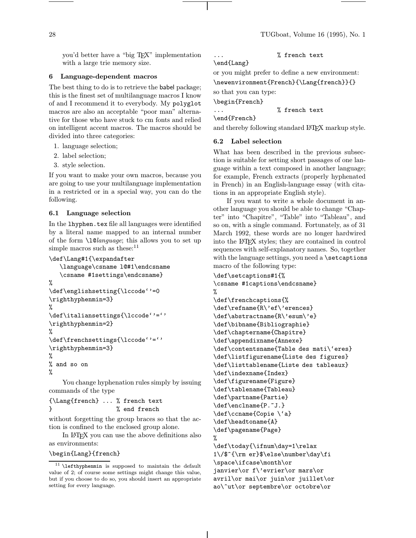you'd better have a "big TEX" implementation with a large trie memory size.

#### 6 Language-dependent macros

The best thing to do is to retrieve the babel package; this is the finest set of multilanguage macros I know of and I recommend it to everybody. My polyglot macros are also an acceptable "poor man" alternative for those who have stuck to cm fonts and relied on intelligent accent macros. The macros should be divided into three categories:

- 1. language selection;
- 2. label selection;
- 3. style selection.

If you want to make your own macros, because you are going to use your multilanguage implementation in a restricted or in a special way, you can do the following.

# 6.1 Language selection

In the lhyphen.tex file all languages were identified by a literal name mapped to an internal number of the form  $\lambda$  10*language*; this allows you to set up simple macros such as these: $11$ 

```
\def\Lang#1{\expandafter
```

```
\language\csname l@#1\endcsname
   \csname #1settings\endcsname}
%
\def\englishsetting{\lccode''=0
\righthyphenmin=3}
%
\def\italiansettings{\lccode''=''
\righthyphenmin=2}
%
\def\frenchsettings{\lccode''=''
\righthyphenmin=3}
%
% and so on
%
```
You change hyphenation rules simply by issuing commands of the type

# {\Lang{french} ... % french text } % end french

without forgetting the group braces so that the action is confined to the enclosed group alone.

In LATEX you can use the above definitions also as environments:

\begin{Lang}{french}

# % french text

\end{Lang}

or you might prefer to define a new environment: \newenvironment{French}{\Lang{french}}{}

so that you can type:

\begin{French}

... % french text

\end{French}

and thereby following standard LAT<sub>EX</sub> markup style.

# 6.2 Label selection

What has been described in the previous subsection is suitable for setting short passages of one language within a text composed in another language; for example, French extracts (properly hyphenated in French) in an English-language essay (with citations in an appropriate English style).

If you want to write a whole document in another language you should be able to change "Chapter" into "Chapitre", "Table" into "Tableau", and so on, with a single command. Fortunately, as of 31 March 1992, these words are no longer hardwired into the LATEX styles; they are contained in control sequences with self-explanatory names. So, together with the language settings, you need a \setcaptions macro of the following type:

```
\def\setcaptions#1{%
\csname #1captions\endcsname}
```

```
%
\def\frenchcaptions{%
\def\refname{R\'ef\'erences}
\def\abstractname{R\'esum\'e}
\def\bibname{Bibliographie}
\def\chaptername{Chapitre}
\def\appendixname{Annexe}
\def\contentsname{Table des mati\'eres}
\def\listfigurename{Liste des figures}
\def\listtablename{Liste des tableaux}
\def\indexname{Index}
\def\figurename{Figure}
\def\tablename{Tableau}
\def\partname{Partie}
\def\enclname{P.~J.}
\def\ccname{Copie \'a}
\def\headtoname{A}
\def\pagename{Page}
%
```
\def\today{\ifnum\day=1\relax 1\/\$^{\rm er}\$\else\number\day\fi \space\ifcase\month\or janvier\or f\'evrier\or mars\or avril\or mai\or juin\or juillet\or ao\^ut\or septembre\or octobre\or

 $^{11}$  **\lefthyphenmin** is supposed to maintain the default value of 2; of course some settings might change this value, but if you choose to do so, you should insert an appropriate setting for every language.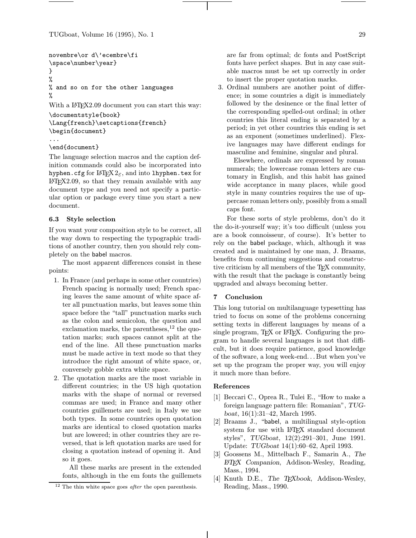```
novembre\or d\'ecembre\fi
\space\number\year}
}
%
% and so on for the other languages
%
With a LAT<sub>F</sub>X2.09 document you can start this way:
```
\documentstyle{book}

```
\Lang{french}\setcaptions{french}
\begin{document}
```

```
...
```
# \end{document}

The language selection macros and the caption definition commands could also be incorporated into hyphen.cfg for LATEX $2\varepsilon$ , and into lhyphen.tex for LATEX2.09, so that they remain available with any document type and you need not specify a particular option or package every time you start a new document.

# 6.3 Style selection

If you want your composition style to be correct, all the way down to respecting the typographic traditions of another country, then you should rely completely on the babel macros.

The most apparent differences consist in these points:

- 1. In France (and perhaps in some other countries) French spacing is normally used; French spacing leaves the same amount of white space after all punctuation marks, but leaves some thin space before the "tall" punctuation marks such as the colon and semicolon, the question and exclamation marks, the parentheses,<sup>12</sup> the quotation marks; such spaces cannot split at the end of the line. All these punctuation marks must be made active in text mode so that they introduce the right amount of white space, or, conversely gobble extra white space.
- 2. The quotation marks are the most variable in different countries; in the US high quotation marks with the shape of normal or reversed commas are used; in France and many other countries guillemets are used; in Italy we use both types. In some countries open quotation marks are identical to closed quotation marks but are lowered; in other countries they are reversed, that is left quotation marks are used for closing a quotation instead of opening it. And so it goes.

All these marks are present in the extended fonts, although in the em fonts the guillemets are far from optimal; dc fonts and PostScript fonts have perfect shapes. But in any case suitable macros must be set up correctly in order to insert the proper quotation marks.

3. Ordinal numbers are another point of difference; in some countries a digit is immediately followed by the desinence or the final letter of the corresponding spelled-out ordinal; in other countries this literal ending is separated by a period; in yet other countries this ending is set as an exponent (sometimes underlined). Flexive languages may have different endings for masculine and feminine, singular and plural.

Elsewhere, ordinals are expressed by roman numerals; the lowercase roman letters are customary in English, and this habit has gained wide acceptance in many places, while good style in many countries requires the use of uppercase roman letters only, possibly from a small caps font.

For these sorts of style problems, don't do it the do-it-yourself way; it's too difficult (unless you are a book connoisseur, of course). It's better to rely on the babel package, which, although it was created and is maintained by one man, J. Braams, benefits from continuing suggestions and constructive criticism by all members of the T<sub>E</sub>X community, with the result that the package is constantly being upgraded and always becoming better.

# 7 Conclusion

This long tutorial on multilanguage typesetting has tried to focus on some of the problems concerning setting texts in different languages by means of a single program, TEX or IATEX. Configuring the program to handle several languages is not that difficult, but it does require patience, good knowledge of the software, a long week-end...But when you've set up the program the proper way, you will enjoy it much more than before.

#### References

- [1] Beccari C., Oprea R., Tulei E., "How to make a foreign language pattern file: Romanian", TUGboat, 16(1):31–42, March 1995.
- [2] Braams J., "babel, a multilingual style-option system for use with LAT<sub>EX</sub> standard document styles", TUGboat, 12(2):291–301, June 1991. Update: TUGboat 14(1):60–62, April 1993.
- [3] Goossens M., Mittelbach F., Samarin A., The LATEX Companion, Addison-Wesley, Reading, Mass., 1994.
- [4] Knuth D.E., The TEXbook, Addison-Wesley, Reading, Mass., 1990.

 $12$  The thin white space goes *after* the open parenthesis.